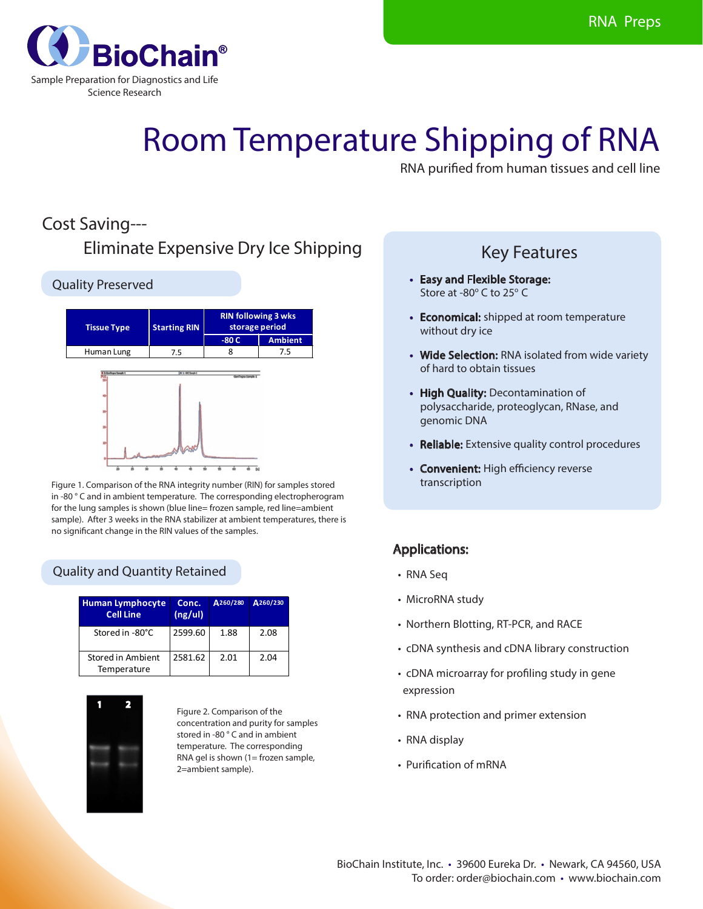

# Room Temperature Shipping of RNA

RNA purified from human tissues and cell line

## Cost Saving---

## Eliminate Expensive Dry Ice Shipping

#### Quality Preserved



Figure 1. Comparison of the RNA integrity number (RIN) for samples stored in -80 ° C and in ambient temperature. The corresponding electropherogram for the lung samples is shown (blue line= frozen sample, red line=ambient sample). After 3 weeks in the RNA stabilizer at ambient temperatures, there is no significant change in the RIN values of the samples.

#### Quality and Quantity Retained

| <b>Human Lymphocyte</b><br><b>Cell Line</b> | Conc.<br>(ng/u) | A260/280 | A260/230 |
|---------------------------------------------|-----------------|----------|----------|
| Stored in -80°C                             | 2599.60         | 1.88     | 2.08     |
| Stored in Ambient<br>Temperature            | 2581.62         | 2.01     | 2.04     |



Figure 2. Comparison of the concentration and purity for samples stored in -80 ° C and in ambient temperature. The corresponding RNA gel is shown (1= frozen sample, 2=ambient sample).

### Key Features

- • Easy and Flexible Storage: Store at -80 $^{\circ}$  C to 25 $^{\circ}$  C
- Economical: shipped at room temperature without dry ice
- Wide Selection: RNA isolated from wide variety of hard to obtain tissues
- High Quality: Decontamination of polysaccharide, proteoglycan, RNase, and genomic DNA
- Reliable: Extensive quality control procedures
- Convenient: High efficiency reverse transcription

#### Applications:

- RNA Seq
- MicroRNA study
- Northern Blotting, RT-PCR, and RACE
- cDNA synthesis and cDNA library construction
- cDNA microarray for profiling study in gene expression
- RNA protection and primer extension
- RNA display
- Purification of mRNA